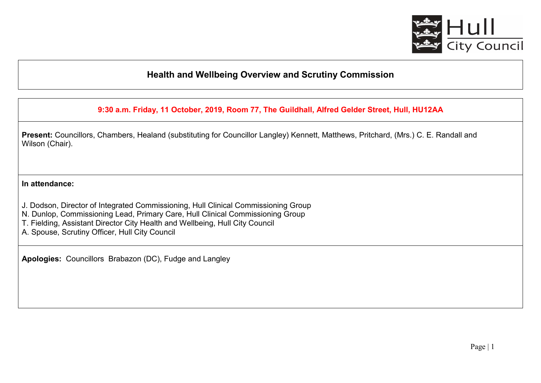

## **Health and Wellbeing Overview and Scrutiny Commission**

**9:30 a.m. Friday, 11 October, 2019, Room 77, The Guildhall, Alfred Gelder Street, Hull, HU12AA** 

**Present:** Councillors, Chambers, Healand (substituting for Councillor Langley) Kennett, Matthews, Pritchard, (Mrs.) C. E. Randall and Wilson (Chair).

**In attendance:** 

J. Dodson, Director of Integrated Commissioning, Hull Clinical Commissioning Group

N. Dunlop, Commissioning Lead, Primary Care, Hull Clinical Commissioning Group

T. Fielding, Assistant Director City Health and Wellbeing, Hull City Council

A. Spouse, Scrutiny Officer, Hull City Council

**Apologies:** Councillors Brabazon (DC), Fudge and Langley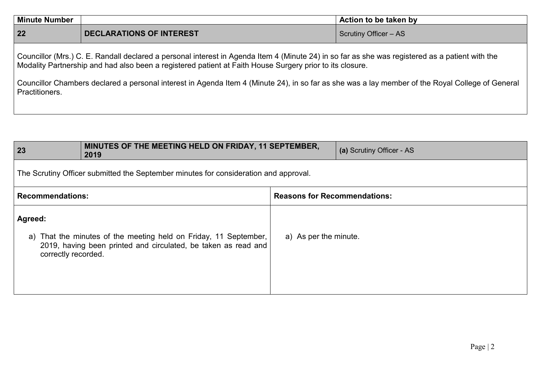| <b>Minute Number</b> |                                 | Action to be taken by        |
|----------------------|---------------------------------|------------------------------|
| 22                   | <b>DECLARATIONS OF INTEREST</b> | <b>Scrutiny Officer - AS</b> |

Councillor (Mrs.) C. E. Randall declared a personal interest in Agenda Item 4 (Minute 24) in so far as she was registered as a patient with the Modality Partnership and had also been a registered patient at Faith House Surgery prior to its closure.

Councillor Chambers declared a personal interest in Agenda Item 4 (Minute 24), in so far as she was a lay member of the Royal College of General Practitioners.

| 23                                                                                                                                                                   | MINUTES OF THE MEETING HELD ON FRIDAY, 11 SEPTEMBER,<br>2019 |                                     | (a) Scrutiny Officer - AS |  |
|----------------------------------------------------------------------------------------------------------------------------------------------------------------------|--------------------------------------------------------------|-------------------------------------|---------------------------|--|
| The Scrutiny Officer submitted the September minutes for consideration and approval.                                                                                 |                                                              |                                     |                           |  |
| <b>Recommendations:</b>                                                                                                                                              |                                                              | <b>Reasons for Recommendations:</b> |                           |  |
| Agreed:<br>a) That the minutes of the meeting held on Friday, 11 September,<br>2019, having been printed and circulated, be taken as read and<br>correctly recorded. |                                                              | a) As per the minute.               |                           |  |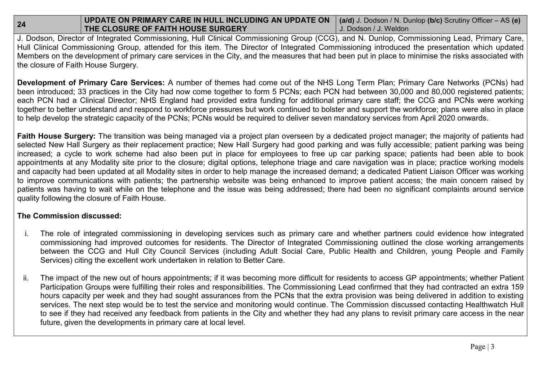## **24 UPDATE ON PRIMARY CARE IN HULL INCLUDING AN UPDATE ON** (a/d) J. Dodson / N. Dunlop (b/c) Scrutiny Officer – AS (e)<br> **THE CLOSURE OF FAITH HOUSE SURGERY** J. Dodson / J. Weldon

 J. Dodson, Director of Integrated Commissioning, Hull Clinical Commissioning Group (CCG), and N. Dunlop, Commissioning Lead, Primary Care, Hull Clinical Commissioning Group, attended for this item. The Director of Integrated Commissioning introduced the presentation which updated Members on the development of primary care services in the City, and the measures that had been put in place to minimise the risks associated with the closure of Faith House Surgery.

**Development of Primary Care Services:** A number of themes had come out of the NHS Long Term Plan; Primary Care Networks (PCNs) had been introduced; 33 practices in the City had now come together to form 5 PCNs; each PCN had between 30,000 and 80,000 registered patients; each PCN had a Clinical Director; NHS England had provided extra funding for additional primary care staff; the CCG and PCNs were working together to better understand and respond to workforce pressures but work continued to bolster and support the workforce; plans were also in place to help develop the strategic capacity of the PCNs; PCNs would be required to deliver seven mandatory services from April 2020 onwards.

**Faith House Surgery:** The transition was being managed via a project plan overseen by a dedicated project manager; the majority of patients had selected New Hall Surgery as their replacement practice; New Hall Surgery had good parking and was fully accessible; patient parking was being increased; a cycle to work scheme had also been put in place for employees to free up car parking space; patients had been able to book appointments at any Modality site prior to the closure; digital options, telephone triage and care navigation was in place; practice working models and capacity had been updated at all Modality sites in order to help manage the increased demand; a dedicated Patient Liaison Officer was working to improve communications with patients; the partnership website was being enhanced to improve patient access; the main concern raised by patients was having to wait while on the telephone and the issue was being addressed; there had been no significant complaints around service quality following the closure of Faith House.

## **The Commission discussed:**

- i. The role of integrated commissioning in developing services such as primary care and whether partners could evidence how integrated commissioning had improved outcomes for residents. The Director of Integrated Commissioning outlined the close working arrangements between the CCG and Hull City Council Services (including Adult Social Care, Public Health and Children, young People and Family Services) citing the excellent work undertaken in relation to Better Care.
- ii. The impact of the new out of hours appointments; if it was becoming more difficult for residents to access GP appointments; whether Patient Participation Groups were fulfilling their roles and responsibilities. The Commissioning Lead confirmed that they had contracted an extra 159 hours capacity per week and they had sought assurances from the PCNs that the extra provision was being delivered in addition to existing services. The next step would be to test the service and monitoring would continue. The Commission discussed contacting Healthwatch Hull to see if they had received any feedback from patients in the City and whether they had any plans to revisit primary care access in the near future, given the developments in primary care at local level.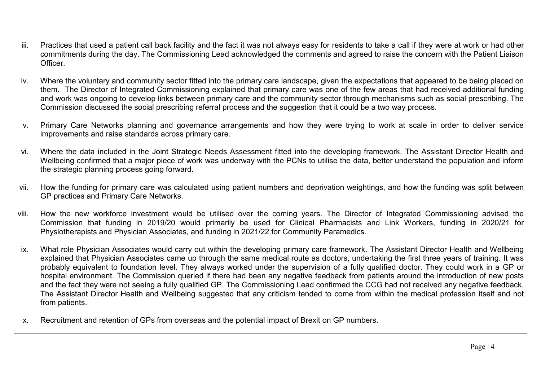- iii. Practices that used a patient call back facility and the fact it was not always easy for residents to take a call if they were at work or had other commitments during the day. The Commissioning Lead acknowledged the comments and agreed to raise the concern with the Patient Liaison Officer.
- iv. Where the voluntary and community sector fitted into the primary care landscape, given the expectations that appeared to be being placed on them. The Director of Integrated Commissioning explained that primary care was one of the few areas that had received additional funding and work was ongoing to develop links between primary care and the community sector through mechanisms such as social prescribing. The Commission discussed the social prescribing referral process and the suggestion that it could be a two way process.
- v. Primary Care Networks planning and governance arrangements and how they were trying to work at scale in order to deliver service improvements and raise standards across primary care.
- vi. Where the data included in the Joint Strategic Needs Assessment fitted into the developing framework. The Assistant Director Health and Wellbeing confirmed that a major piece of work was underway with the PCNs to utilise the data, better understand the population and inform the strategic planning process going forward.
- vii. How the funding for primary care was calculated using patient numbers and deprivation weightings, and how the funding was split between GP practices and Primary Care Networks.
- viii. How the new workforce investment would be utilised over the coming years. The Director of Integrated Commissioning advised the Commission that funding in 2019/20 would primarily be used for Clinical Pharmacists and Link Workers, funding in 2020/21 for Physiotherapists and Physician Associates, and funding in 2021/22 for Community Paramedics.
- ix. What role Physician Associates would carry out within the developing primary care framework. The Assistant Director Health and Wellbeing explained that Physician Associates came up through the same medical route as doctors, undertaking the first three years of training. It was probably equivalent to foundation level. They always worked under the supervision of a fully qualified doctor. They could work in a GP or hospital environment. The Commission queried if there had been any negative feedback from patients around the introduction of new posts and the fact they were not seeing a fully qualified GP. The Commissioning Lead confirmed the CCG had not received any negative feedback. The Assistant Director Health and Wellbeing suggested that any criticism tended to come from within the medical profession itself and not from patients.
- x. Recruitment and retention of GPs from overseas and the potential impact of Brexit on GP numbers.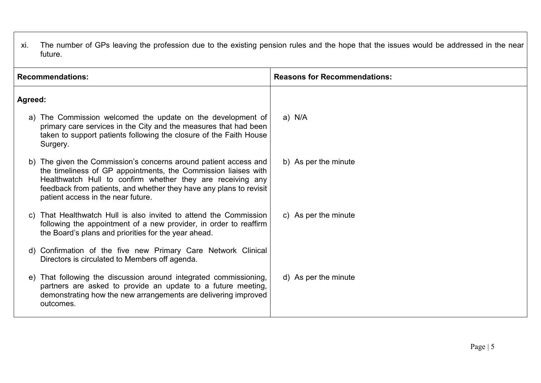xi. The number of GPs leaving the profession due to the existing pension rules and the hope that the issues would be addressed in the near future.

| <b>Recommendations:</b> |                                                                                                                                                                                                                                                                                                           | <b>Reasons for Recommendations:</b> |
|-------------------------|-----------------------------------------------------------------------------------------------------------------------------------------------------------------------------------------------------------------------------------------------------------------------------------------------------------|-------------------------------------|
| Agreed:                 |                                                                                                                                                                                                                                                                                                           |                                     |
|                         | The Commission welcomed the update on the development of<br>primary care services in the City and the measures that had been<br>taken to support patients following the closure of the Faith House<br>Surgery.                                                                                            | a) N/A                              |
|                         | The given the Commission's concerns around patient access and<br>the timeliness of GP appointments, the Commission liaises with<br>Healthwatch Hull to confirm whether they are receiving any<br>feedback from patients, and whether they have any plans to revisit<br>patient access in the near future. | b) As per the minute                |
| $\mathsf{C}$            | That Healthwatch Hull is also invited to attend the Commission<br>following the appointment of a new provider, in order to reaffirm<br>the Board's plans and priorities for the year ahead.                                                                                                               | c) As per the minute                |
| d)                      | Confirmation of the five new Primary Care Network Clinical<br>Directors is circulated to Members off agenda.                                                                                                                                                                                              |                                     |
| e)                      | That following the discussion around integrated commissioning,<br>partners are asked to provide an update to a future meeting,<br>demonstrating how the new arrangements are delivering improved<br>outcomes.                                                                                             | d) As per the minute                |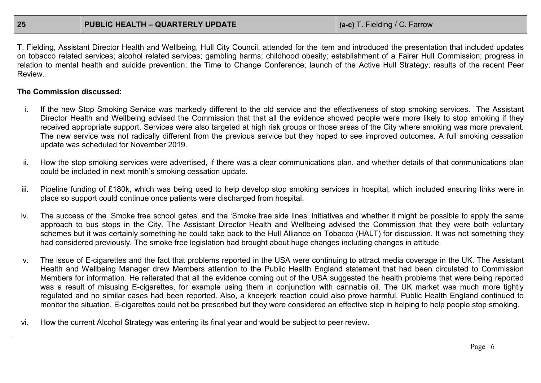T. Fielding, Assistant Director Health and Wellbeing, Hull City Council, attended for the item and introduced the presentation that included updates on tobacco related services; alcohol related services; gambling harms; childhood obesity; establishment of a Fairer Hull Commission; progress in relation to mental health and suicide prevention; the Time to Change Conference; launch of the Active Hull Strategy; results of the recent Peer Review.

## **The Commission discussed:**

- i. If the new Stop Smoking Service was markedly different to the old service and the effectiveness of stop smoking services. The Assistant Director Health and Wellbeing advised the Commission that that all the evidence showed people were more likely to stop smoking if they received appropriate support. Services were also targeted at high risk groups or those areas of the City where smoking was more prevalent. The new service was not radically different from the previous service but they hoped to see improved outcomes. A full smoking cessation update was scheduled for November 2019.
- ii. How the stop smoking services were advertised, if there was a clear communications plan, and whether details of that communications plan could be included in next month's smoking cessation update.
- iii. Pipeline funding of £180k, which was being used to help develop stop smoking services in hospital, which included ensuring links were in place so support could continue once patients were discharged from hospital.
- iv. The success of the 'Smoke free school gates' and the 'Smoke free side lines' initiatives and whether it might be possible to apply the same approach to bus stops in the City. The Assistant Director Health and Wellbeing advised the Commission that they were both voluntary schemes but it was certainly something he could take back to the Hull Alliance on Tobacco (HALT) for discussion. It was not something they had considered previously. The smoke free legislation had brought about huge changes including changes in attitude.
- v. The issue of E-cigarettes and the fact that problems reported in the USA were continuing to attract media coverage in the UK. The Assistant Health and Wellbeing Manager drew Members attention to the Public Health England statement that had been circulated to Commission Members for information. He reiterated that all the evidence coming out of the USA suggested the health problems that were being reported was a result of misusing E-cigarettes, for example using them in conjunction with cannabis oil. The UK market was much more tightly regulated and no similar cases had been reported. Also, a kneejerk reaction could also prove harmful. Public Health England continued to monitor the situation. E-cigarettes could not be prescribed but they were considered an effective step in helping to help people stop smoking.
- vi. How the current Alcohol Strategy was entering its final year and would be subject to peer review.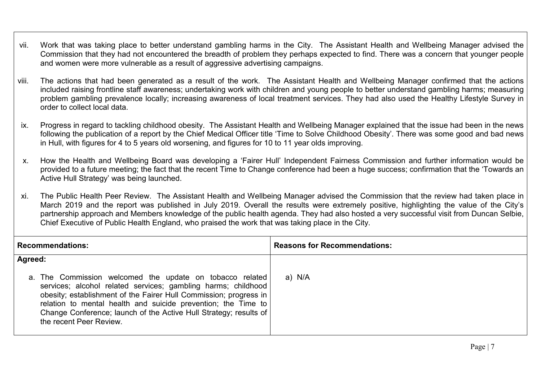- vii. Work that was taking place to better understand gambling harms in the City. The Assistant Health and Wellbeing Manager advised the Commission that they had not encountered the breadth of problem they perhaps expected to find. There was a concern that younger people and women were more vulnerable as a result of aggressive advertising campaigns.
- viii. The actions that had been generated as a result of the work. The Assistant Health and Wellbeing Manager confirmed that the actions included raising frontline staff awareness; undertaking work with children and young people to better understand gambling harms; measuring problem gambling prevalence locally; increasing awareness of local treatment services. They had also used the Healthy Lifestyle Survey in order to collect local data.
- ix. Progress in regard to tackling childhood obesity. The Assistant Health and Wellbeing Manager explained that the issue had been in the news following the publication of a report by the Chief Medical Officer title 'Time to Solve Childhood Obesity'. There was some good and bad news in Hull, with figures for 4 to 5 years old worsening, and figures for 10 to 11 year olds improving.
- x. How the Health and Wellbeing Board was developing a 'Fairer Hull' Independent Fairness Commission and further information would be provided to a future meeting; the fact that the recent Time to Change conference had been a huge success; confirmation that the 'Towards an Active Hull Strategy' was being launched.
- xi. The Public Health Peer Review. The Assistant Health and Wellbeing Manager advised the Commission that the review had taken place in March 2019 and the report was published in July 2019. Overall the results were extremely positive, highlighting the value of the City's partnership approach and Members knowledge of the public health agenda. They had also hosted a very successful visit from Duncan Selbie, Chief Executive of Public Health England, who praised the work that was taking place in the City.

| <b>Recommendations:</b>                                                                                                                                                                                                                                                                                                                                         | <b>Reasons for Recommendations:</b> |
|-----------------------------------------------------------------------------------------------------------------------------------------------------------------------------------------------------------------------------------------------------------------------------------------------------------------------------------------------------------------|-------------------------------------|
| Agreed:                                                                                                                                                                                                                                                                                                                                                         |                                     |
| a. The Commission welcomed the update on tobacco related<br>services; alcohol related services; gambling harms; childhood<br>obesity; establishment of the Fairer Hull Commission; progress in<br>relation to mental health and suicide prevention; the Time to<br>Change Conference; launch of the Active Hull Strategy; results of<br>the recent Peer Review. | a) N/A                              |